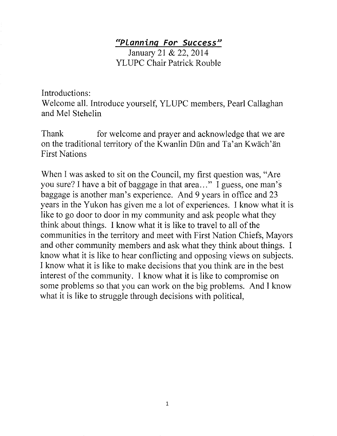"Planning For Success"

January 21 & 22, 2014 **YLUPC Chair Patrick Rouble** 

Introductions:

Welcome all. Introduce yourself, YLUPC members, Pearl Callaghan and Mel Stehelin

Thank for welcome and prayer and acknowledge that we are on the traditional territory of the Kwanlin Dün and Ta'an Kwäch'än **First Nations** 

When I was asked to sit on the Council, my first question was, "Are you sure? I have a bit of baggage in that area..." I guess, one man's baggage is another man's experience. And 9 years in office and 23 years in the Yukon has given me a lot of experiences. I know what it is like to go door to door in my community and ask people what they think about things. I know what it is like to travel to all of the communities in the territory and meet with First Nation Chiefs, Mayors and other community members and ask what they think about things. I know what it is like to hear conflicting and opposing views on subjects. I know what it is like to make decisions that you think are in the best interest of the community. I know what it is like to compromise on some problems so that you can work on the big problems. And I know what it is like to struggle through decisions with political.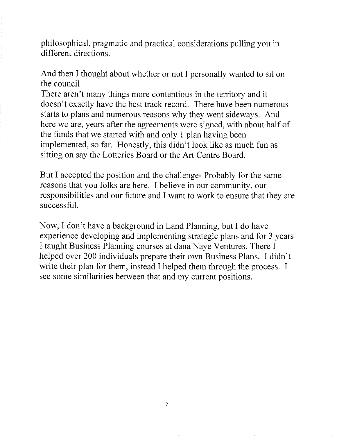philosophical, pragmatic and practical considerations pulling you in different directions.

And then I thought about whether or not I personally wanted to sit on the council

There aren't many things more contentious in the territory and it doesn't exactly have the best track record. There have been numerous starts to plans and numerous reasons why they went sideways. And here we are, years after the agreements were signed, with about half of the funds that we started with and only 1 plan having been implemented, so far. Honestly, this didn't look like as much fun as sitting on say the Lotteries Board or the Art Centre Board.

But I accepted the position and the challenge- Probably for the same reasons that you folks are here. I believe in our community, our responsibilities and our future and I want to work to ensure that they are successful.

Now, I don't have a background in Land Planning, but I do have experience developing and implementing strategic plans and for 3 years I taught Business Planning courses at dana Naye Ventures. There I helped over 200 individuals prepare their own Business Plans. I didn't write their plan for them, instead I helped them through the process. I see some similarities between that and my current positions.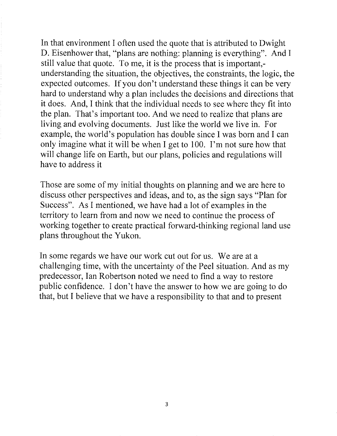In that environment I often used the quote that is attributed to Dwight D. Eisenhower that, "plans are nothing: planning is everything". And I still value that quote. To me, it is the process that is important,understanding the situation, the objectives, the constraints, the logic, the expected outcomes. If you don't understand these things it can be very hard to understand why a plan includes the decisions and directions that it does. And, I think that the individual needs to see where they fit into the plan. That's important too. And we need to realize that plans are living and evolving documents. Just like the world we live in. For example, the world's population has double since I was born and I can only imagine what it will be when I get to 100. I'm not sure how that will change life on Earth, but our plans, policies and regulations will have to address it

Those are some of my initial thoughts on planning and we are here to discuss other perspectives and ideas, and to, as the sign says "Plan for Success". As I mentioned, we have had a lot of examples in the territory to learn from and now we need to continue the process of working together to create practical forward-thinking regional land use plans throughout the Yukon.

In some regards we have our work cut out for us. We are at a challenging time, with the uncertainty of the Peel situation. And as my predecessor, Ian Robertson noted we need to find a way to restore public confidence. I don't have the answer to how we are going to do that, but I believe that we have a responsibility to that and to present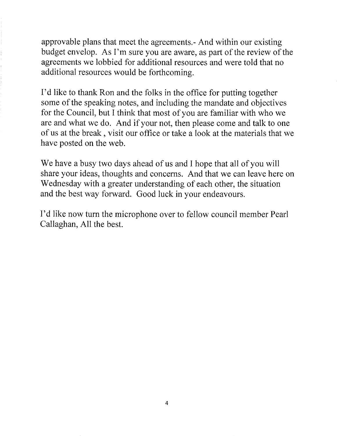approvable plans that meet the agreements. And within our existing budget envelop. As I'm sure you are aware, as part of the review of the agreements we lobbied for additional resources and were told that no additional resources would be forthcoming.

I'd like to thank Ron and the folks in the office for putting together some of the speaking notes, and including the mandate and objectives for the Council, but I think that most of you are familiar with who we are and what we do. And if your not, then please come and talk to one of us at the break, visit our office or take a look at the materials that we have posted on the web.

We have a busy two days ahead of us and I hope that all of you will share your ideas, thoughts and concerns. And that we can leave here on Wednesday with a greater understanding of each other, the situation and the best way forward. Good luck in your endeavours.

I'd like now turn the microphone over to fellow council member Pearl Callaghan, All the best.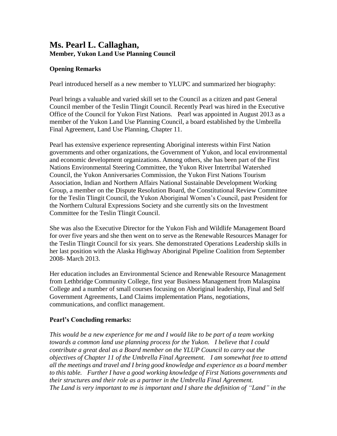## **Ms. Pearl L. Callaghan, Member, Yukon Land Use Planning Council**

## **Opening Remarks**

Pearl introduced herself as a new member to YLUPC and summarized her biography:

Pearl brings a valuable and varied skill set to the Council as a citizen and past General Council member of the Teslin Tlingit Council. Recently Pearl was hired in the Executive Office of the Council for Yukon First Nations. Pearl was appointed in August 2013 as a member of the Yukon Land Use Planning Council, a board established by the Umbrella Final Agreement, Land Use Planning, Chapter 11.

Pearl has extensive experience representing Aboriginal interests within First Nation governments and other organizations, the Government of Yukon, and local environmental and economic development organizations. Among others, she has been part of the First Nations Environmental Steering Committee, the Yukon River Intertribal Watershed Council, the Yukon Anniversaries Commission, the Yukon First Nations Tourism Association, Indian and Northern Affairs National Sustainable Development Working Group, a member on the Dispute Resolution Board, the Constitutional Review Committee for the Teslin Tlingit Council, the Yukon Aboriginal Women's Council, past President for the Northern Cultural Expressions Society and she currently sits on the Investment Committee for the Teslin Tlingit Council.

She was also the Executive Director for the Yukon Fish and Wildlife Management Board for over five years and she then went on to serve as the Renewable Resources Manager for the Teslin Tlingit Council for six years. She demonstrated Operations Leadership skills in her last position with the Alaska Highway Aboriginal Pipeline Coalition from September 2008- March 2013.

Her education includes an Environmental Science and Renewable Resource Management from Lethbridge Community College, first year Business Management from Malaspina College and a number of small courses focusing on Aboriginal leadership, Final and Self Government Agreements, Land Claims implementation Plans, negotiations, communications, and conflict management.

## **Pearl's Concluding remarks:**

*This would be a new experience for me and I would like to be part of a team working towards a common land use planning process for the Yukon. I believe that I could contribute a great deal as a Board member on the YLUP Council to carry out the objectives of Chapter 11 of the Umbrella Final Agreement. I am somewhat free to attend all the meetings and travel and I bring good knowledge and experience as a board member to this table. Further I have a good working knowledge of First Nations governments and their structures and their role as a partner in the Umbrella Final Agreement. The Land is very important to me is important and I share the definition of "Land" in the*